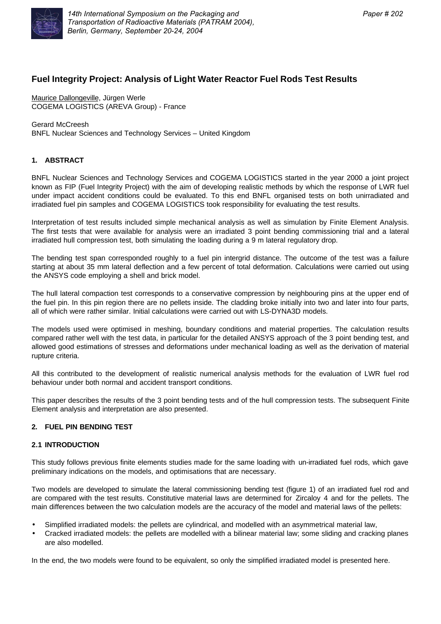

# **Fuel Integrity Project: Analysis of Light Water Reactor Fuel Rods Test Results**

Maurice Dallongeville, Jürgen Werle COGEMA LOGISTICS (AREVA Group) - France

Gerard McCreesh BNFL Nuclear Sciences and Technology Services – United Kingdom

# **1. ABSTRACT**

BNFL Nuclear Sciences and Technology Services and COGEMA LOGISTICS started in the year 2000 a joint project known as FIP (Fuel Integrity Project) with the aim of developing realistic methods by which the response of LWR fuel under impact accident conditions could be evaluated. To this end BNFL organised tests on both unirradiated and irradiated fuel pin samples and COGEMA LOGISTICS took responsibility for evaluating the test results.

Interpretation of test results included simple mechanical analysis as well as simulation by Finite Element Analysis. The first tests that were available for analysis were an irradiated 3 point bending commissioning trial and a lateral irradiated hull compression test, both simulating the loading during a 9 m lateral regulatory drop.

The bending test span corresponded roughly to a fuel pin intergrid distance. The outcome of the test was a failure starting at about 35 mm lateral deflection and a few percent of total deformation. Calculations were carried out using the ANSYS code employing a shell and brick model.

The hull lateral compaction test corresponds to a conservative compression by neighbouring pins at the upper end of the fuel pin. In this pin region there are no pellets inside. The cladding broke initially into two and later into four parts, all of which were rather similar. Initial calculations were carried out with LS-DYNA3D models.

The models used were optimised in meshing, boundary conditions and material properties. The calculation results compared rather well with the test data, in particular for the detailed ANSYS approach of the 3 point bending test, and allowed good estimations of stresses and deformations under mechanical loading as well as the derivation of material rupture criteria.

All this contributed to the development of realistic numerical analysis methods for the evaluation of LWR fuel rod behaviour under both normal and accident transport conditions.

This paper describes the results of the 3 point bending tests and of the hull compression tests. The subsequent Finite Element analysis and interpretation are also presented.

# **2. FUEL PIN BENDING TEST**

#### **2.1 INTRODUCTION**

This study follows previous finite elements studies made for the same loading with un-irradiated fuel rods, which gave preliminary indications on the models, and optimisations that are necessary.

Two models are developed to simulate the lateral commissioning bending test (figure 1) of an irradiated fuel rod and are compared with the test results. Constitutive material laws are determined for Zircaloy 4 and for the pellets. The main differences between the two calculation models are the accuracy of the model and material laws of the pellets:

- Simplified irradiated models: the pellets are cylindrical, and modelled with an asymmetrical material law,
- Cracked irradiated models: the pellets are modelled with a bilinear material law; some sliding and cracking planes are also modelled.

In the end, the two models were found to be equivalent, so only the simplified irradiated model is presented here.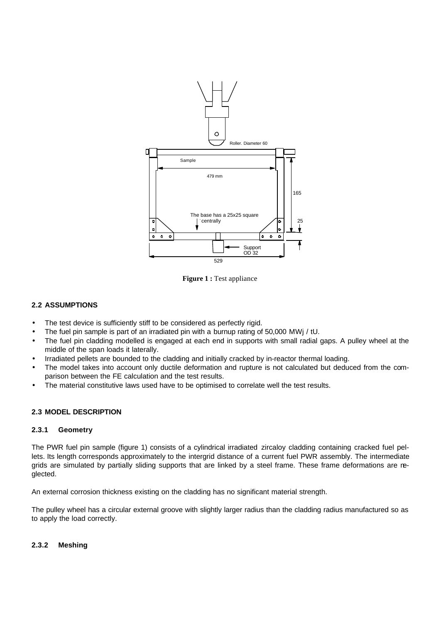

**Figure 1 :** Test appliance

# **2.2 ASSUMPTIONS**

- The test device is sufficiently stiff to be considered as perfectly rigid.
- The fuel pin sample is part of an irradiated pin with a burnup rating of 50,000 MWj / tU.
- The fuel pin cladding modelled is engaged at each end in supports with small radial gaps. A pulley wheel at the middle of the span loads it laterally.
- Irradiated pellets are bounded to the cladding and initially cracked by in-reactor thermal loading.
- The model takes into account only ductile deformation and rupture is not calculated but deduced from the comparison between the FE calculation and the test results.
- The material constitutive laws used have to be optimised to correlate well the test results.

#### **2.3 MODEL DESCRIPTION**

#### **2.3.1 Geometry**

The PWR fuel pin sample (figure 1) consists of a cylindrical irradiated zircaloy cladding containing cracked fuel pellets. Its length corresponds approximately to the intergrid distance of a current fuel PWR assembly. The intermediate grids are simulated by partially sliding supports that are linked by a steel frame. These frame deformations are neglected.

An external corrosion thickness existing on the cladding has no significant material strength.

The pulley wheel has a circular external groove with slightly larger radius than the cladding radius manufactured so as to apply the load correctly.

#### **2.3.2 Meshing**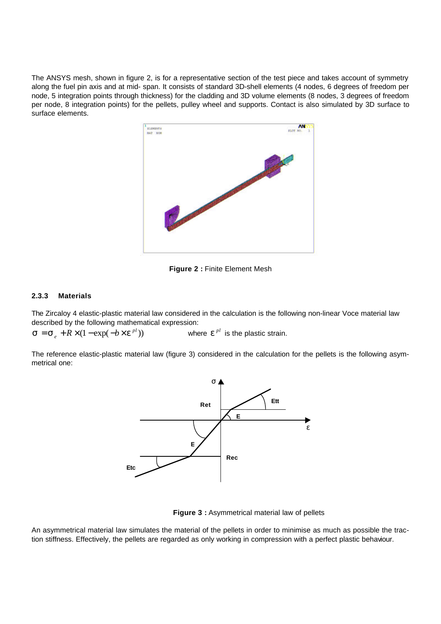The ANSYS mesh, shown in figure 2, is for a representative section of the test piece and takes account of symmetry along the fuel pin axis and at mid- span. It consists of standard 3D-shell elements (4 nodes, 6 degrees of freedom per node, 5 integration points through thickness) for the cladding and 3D volume elements (8 nodes, 3 degrees of freedom per node, 8 integration points) for the pellets, pulley wheel and supports. Contact is also simulated by 3D surface to surface elements.



**Figure 2 :** Finite Element Mesh

# **2.3.3 Materials**

The Zircaloy 4 elastic-plastic material law considered in the calculation is the following non-linear Voce material law described by the following mathematical expression:

 $\mathbf{s} = \mathbf{s}_e + R \times (1 - \exp(-b \times \mathbf{e}^{pl}))$  where  $\mathbf{e}^{pl}$  is the plastic strain.

The reference elastic-plastic material law (figure 3) considered in the calculation for the pellets is the following asymmetrical one:



**Figure 3 :** Asymmetrical material law of pellets

An asymmetrical material law simulates the material of the pellets in order to minimise as much as possible the traction stiffness. Effectively, the pellets are regarded as only working in compression with a perfect plastic behaviour.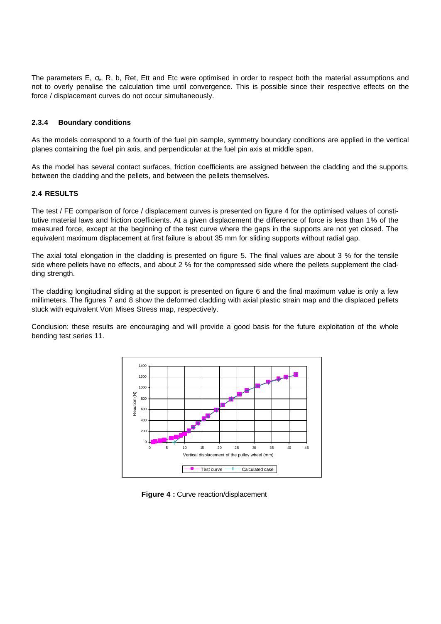The parameters E,  $\sigma_{e}$ , R, b, Ret, Ett and Etc were optimised in order to respect both the material assumptions and not to overly penalise the calculation time until convergence. This is possible since their respective effects on the force / displacement curves do not occur simultaneously.

# **2.3.4 Boundary conditions**

As the models correspond to a fourth of the fuel pin sample, symmetry boundary conditions are applied in the vertical planes containing the fuel pin axis, and perpendicular at the fuel pin axis at middle span.

As the model has several contact surfaces, friction coefficients are assigned between the cladding and the supports, between the cladding and the pellets, and between the pellets themselves.

#### **2.4 RESULTS**

The test / FE comparison of force / displacement curves is presented on figure 4 for the optimised values of constitutive material laws and friction coefficients. At a given displacement the difference of force is less than 1% of the measured force, except at the beginning of the test curve where the gaps in the supports are not yet closed. The equivalent maximum displacement at first failure is about 35 mm for sliding supports without radial gap.

The axial total elongation in the cladding is presented on figure 5. The final values are about 3 % for the tensile side where pellets have no effects, and about 2 % for the compressed side where the pellets supplement the cladding strength.

The cladding longitudinal sliding at the support is presented on figure 6 and the final maximum value is only a few millimeters. The figures 7 and 8 show the deformed cladding with axial plastic strain map and the displaced pellets stuck with equivalent Von Mises Stress map, respectively.

Conclusion: these results are encouraging and will provide a good basis for the future exploitation of the whole bending test series 11.



**Figure 4 :** Curve reaction/displacement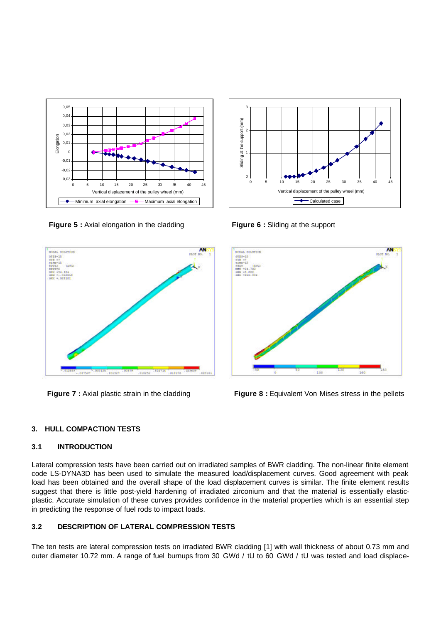

**Figure 5** : Axial elongation in the cladding **Figure 6** : Sliding at the support





#### **3.1 INTRODUCTION**

Lateral compression tests have been carried out on irradiated samples of BWR cladding. The non-linear finite element code LS-DYNA3D has been used to simulate the measured load/displacement curves. Good agreement with peak load has been obtained and the overall shape of the load displacement curves is similar. The finite element results suggest that there is little post-yield hardening of irradiated zirconium and that the material is essentially elasticplastic. Accurate simulation of these curves provides confidence in the material properties which is an essential step in predicting the response of fuel rods to impact loads.

# **3.2 DESCRIPTION OF LATERAL COMPRESSION TESTS**

The ten tests are lateral compression tests on irradiated BWR cladding [1] with wall thickness of about 0.73 mm and outer diameter 10.72 mm. A range of fuel burnups from 30 GWd / tU to 60 GWd / tU was tested and load displace-





**Figure 7** : Axial plastic strain in the cladding **Figure 8** : Equivalent Von Mises stress in the pellets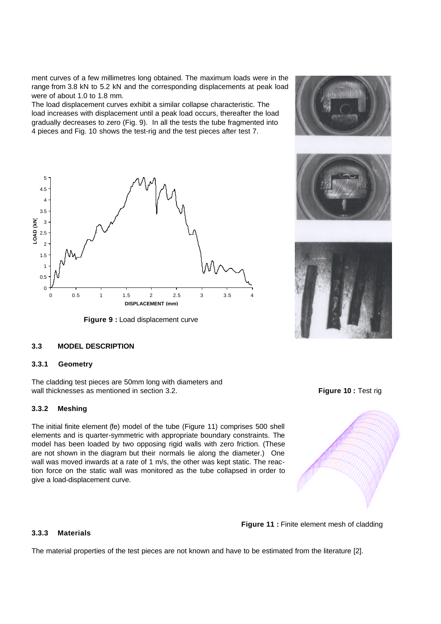ment curves of a few millimetres long obtained. The maximum loads were in the range from 3.8 kN to 5.2 kN and the corresponding displacements at peak load were of about 1.0 to 1.8 mm.

The load displacement curves exhibit a similar collapse characteristic. The load increases with displacement until a peak load occurs, thereafter the load gradually decreases to zero (Fig. 9). In all the tests the tube fragmented into 4 pieces and Fig. 10 shows the test-rig and the test pieces after test 7.



**Figure 9 :** Load displacement curve



## **3.3 MODEL DESCRIPTION**

#### **3.3.1 Geometry**

The cladding test pieces are 50mm long with diameters and wall thicknesses as mentioned in section 3.2. **Figure 10 : Test rigure 10 : Test rigure 10 : Test rigure 10 : Test rigure 10 : Test rigure 10 : Test rigure 10 : Test rigure 10 : Test rigure 10 : Test rigure 10 : Test rigur** 

## **3.3.2 Meshing**

The initial finite element (fe) model of the tube (Figure 11) comprises 500 shell elements and is quarter-symmetric with appropriate boundary constraints. The model has been loaded by two opposing rigid walls with zero friction. (These are not shown in the diagram but their normals lie along the diameter.) One wall was moved inwards at a rate of 1 m/s, the other was kept static. The reaction force on the static wall was monitored as the tube collapsed in order to give a load-displacement curve.

#### **3.3.3 Materials**

The material properties of the test pieces are not known and have to be estimated from the literature [2].



**Figure 11 :** Finite element mesh of cladding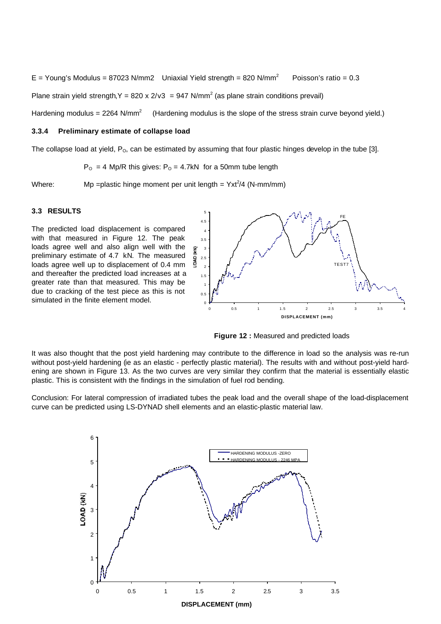E = Young's Modulus = 87023 N/mm2 Uniaxial Yield strength = 820 N/mm<sup>2</sup> Poisson's ratio = 0.3

Plane strain yield strength, Y = 820 x 2/v3 = 947 N/mm<sup>2</sup> (as plane strain conditions prevail)

Hardening modulus =  $2264$  N/mm<sup>2</sup> (Hardening modulus is the slope of the stress strain curve beyond yield.)

## **3.3.4 Preliminary estimate of collapse load**

The collapse load at yield,  $P_0$ , can be estimated by assuming that four plastic hinges develop in the tube [3].

 $P_{O} = 4$  Mp/R this gives:  $P_{O} = 4.7$ kN for a 50mm tube length

Where: Mp = plastic hinge moment per unit length =  $Yxt^2/4$  (N-mm/mm)

### **3.3 RESULTS**

The predicted load displacement is compared with that measured in Figure 12. The peak loads agree well and also align well with the preliminary estimate of 4.7 kN. The measured loads agree well up to displacement of 0.4 mm and thereafter the predicted load increases at a greater rate than that measured. This may be due to cracking of the test piece as this is not simulated in the finite element model.



**Figure 12 :** Measured and predicted loads

It was also thought that the post yield hardening may contribute to the difference in load so the analysis was re-run without post-yield hardening (ie as an elastic - perfectly plastic material). The results with and without post-yield hardening are shown in Figure 13. As the two curves are very similar they confirm that the material is essentially elastic plastic. This is consistent with the findings in the simulation of fuel rod bending.

Conclusion: For lateral compression of irradiated tubes the peak load and the overall shape of the load-displacement curve can be predicted using LS-DYNAD shell elements and an elastic-plastic material law.